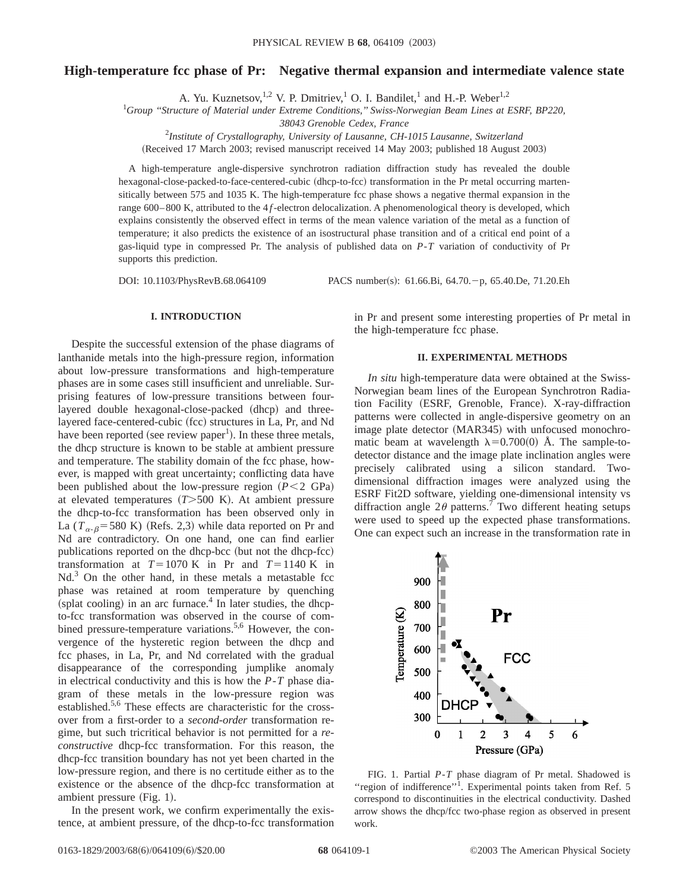# **High-temperature fcc phase of Pr: Negative thermal expansion and intermediate valence state**

A. Yu. Kuznetsov,<sup>1,2</sup> V. P. Dmitriev,<sup>1</sup> O. I. Bandilet,<sup>1</sup> and H.-P. Weber<sup>1,2</sup>

1 *Group ''Structure of Material under Extreme Conditions,'' Swiss-Norwegian Beam Lines at ESRF, BP220,*

*38043 Grenoble Cedex, France*

2 *Institute of Crystallography, University of Lausanne, CH-1015 Lausanne, Switzerland*

(Received 17 March 2003; revised manuscript received 14 May 2003; published 18 August 2003)

A high-temperature angle-dispersive synchrotron radiation diffraction study has revealed the double hexagonal-close-packed-to-face-centered-cubic (dhcp-to-fcc) transformation in the Pr metal occurring martensitically between 575 and 1035 K. The high-temperature fcc phase shows a negative thermal expansion in the range 600–800 K, attributed to the 4f-electron delocalization. A phenomenological theory is developed, which explains consistently the observed effect in terms of the mean valence variation of the metal as a function of temperature; it also predicts the existence of an isostructural phase transition and of a critical end point of a gas-liquid type in compressed Pr. The analysis of published data on *P*-*T* variation of conductivity of Pr supports this prediction.

DOI: 10.1103/PhysRevB.68.064109 PACS number(s): 61.66.Bi, 64.70. p, 65.40.De, 71.20.Eh

### **I. INTRODUCTION**

Despite the successful extension of the phase diagrams of lanthanide metals into the high-pressure region, information about low-pressure transformations and high-temperature phases are in some cases still insufficient and unreliable. Surprising features of low-pressure transitions between fourlayered double hexagonal-close-packed (dhcp) and threelayered face-centered-cubic (fcc) structures in La, Pr, and Nd have been reported (see review paper<sup>1</sup>). In these three metals, the dhcp structure is known to be stable at ambient pressure and temperature. The stability domain of the fcc phase, however, is mapped with great uncertainty; conflicting data have been published about the low-pressure region  $(P < 2 \text{ GPa})$ at elevated temperatures  $(T>500 \text{ K})$ . At ambient pressure the dhcp-to-fcc transformation has been observed only in La  $(T_{\alpha-\beta}$ =580 K) (Refs. 2,3) while data reported on Pr and Nd are contradictory. On one hand, one can find earlier publications reported on the dhcp-bcc (but not the dhcp-fcc) transformation at  $T=1070$  K in Pr and  $T=1140$  K in  $Nd<sup>3</sup>$  On the other hand, in these metals a metastable fcc phase was retained at room temperature by quenching (splat cooling) in an arc furnace.<sup>4</sup> In later studies, the dhcpto-fcc transformation was observed in the course of combined pressure-temperature variations.<sup>5,6</sup> However, the convergence of the hysteretic region between the dhcp and fcc phases, in La, Pr, and Nd correlated with the gradual disappearance of the corresponding jumplike anomaly in electrical conductivity and this is how the *P*-*T* phase diagram of these metals in the low-pressure region was established.<sup>5,6</sup> These effects are characteristic for the crossover from a first-order to a *second-order* transformation regime, but such tricritical behavior is not permitted for a *reconstructive* dhcp-fcc transformation. For this reason, the dhcp-fcc transition boundary has not yet been charted in the low-pressure region, and there is no certitude either as to the existence or the absence of the dhcp-fcc transformation at ambient pressure (Fig. 1).

In the present work, we confirm experimentally the existence, at ambient pressure, of the dhcp-to-fcc transformation in Pr and present some interesting properties of Pr metal in the high-temperature fcc phase.

## **II. EXPERIMENTAL METHODS**

*In situ* high-temperature data were obtained at the Swiss-Norwegian beam lines of the European Synchrotron Radiation Facility (ESRF, Grenoble, France). X-ray-diffraction patterns were collected in angle-dispersive geometry on an image plate detector (MAR345) with unfocused monochromatic beam at wavelength  $\lambda=0.700(0)$  Å. The sample-todetector distance and the image plate inclination angles were precisely calibrated using a silicon standard. Twodimensional diffraction images were analyzed using the ESRF Fit2D software, yielding one-dimensional intensity vs diffraction angle  $2\theta$  patterns.<sup>7</sup> Two different heating setups were used to speed up the expected phase transformations. One can expect such an increase in the transformation rate in



FIG. 1. Partial *P*-*T* phase diagram of Pr metal. Shadowed is "region of indifference"<sup>1</sup>. Experimental points taken from Ref. 5 correspond to discontinuities in the electrical conductivity. Dashed arrow shows the dhcp/fcc two-phase region as observed in present work.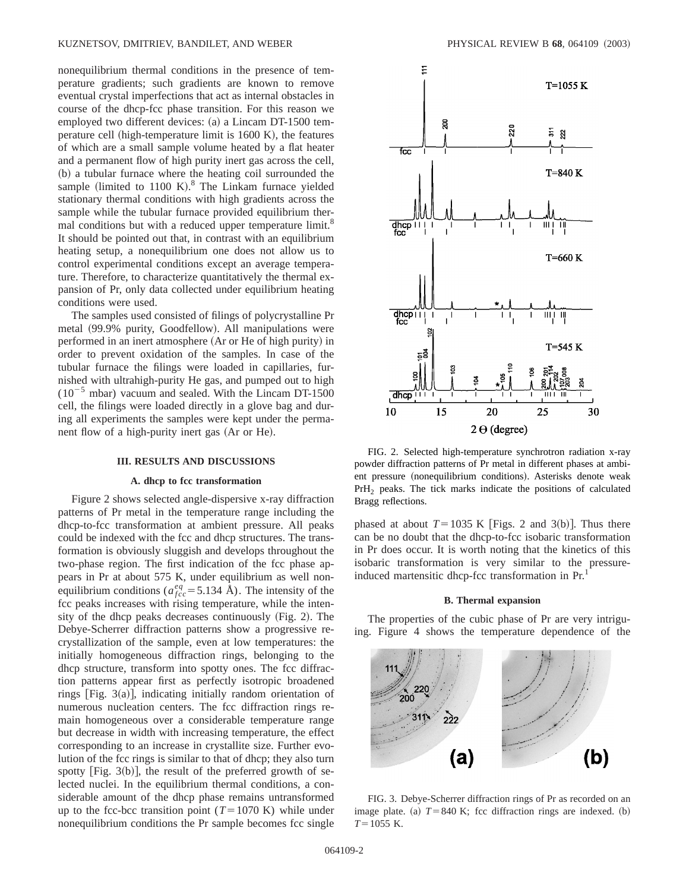nonequilibrium thermal conditions in the presence of temperature gradients; such gradients are known to remove eventual crystal imperfections that act as internal obstacles in course of the dhcp-fcc phase transition. For this reason we employed two different devices: (a) a Lincam DT-1500 temperature cell (high-temperature limit is  $1600 K$ ), the features of which are a small sample volume heated by a flat heater and a permanent flow of high purity inert gas across the cell, (b) a tubular furnace where the heating coil surrounded the sample (limited to  $1100 \text{ K}$ ).<sup>8</sup> The Linkam furnace yielded stationary thermal conditions with high gradients across the sample while the tubular furnace provided equilibrium thermal conditions but with a reduced upper temperature limit.<sup>8</sup> It should be pointed out that, in contrast with an equilibrium heating setup, a nonequilibrium one does not allow us to control experimental conditions except an average temperature. Therefore, to characterize quantitatively the thermal expansion of Pr, only data collected under equilibrium heating conditions were used.

The samples used consisted of filings of polycrystalline Pr metal (99.9% purity, Goodfellow). All manipulations were performed in an inert atmosphere (Ar or He of high purity) in order to prevent oxidation of the samples. In case of the tubular furnace the filings were loaded in capillaries, furnished with ultrahigh-purity He gas, and pumped out to high  $(10^{-5}$  mbar) vacuum and sealed. With the Lincam DT-1500 cell, the filings were loaded directly in a glove bag and during all experiments the samples were kept under the permanent flow of a high-purity inert gas (Ar or He).

#### **III. RESULTS AND DISCUSSIONS**

## **A. dhcp to fcc transformation**

Figure 2 shows selected angle-dispersive x-ray diffraction patterns of Pr metal in the temperature range including the dhcp-to-fcc transformation at ambient pressure. All peaks could be indexed with the fcc and dhcp structures. The transformation is obviously sluggish and develops throughout the two-phase region. The first indication of the fcc phase appears in Pr at about 575 K, under equilibrium as well nonequilibrium conditions ( $a_{fcc}^{eq}$  = 5.134 Å). The intensity of the fcc peaks increases with rising temperature, while the intensity of the dhcp peaks decreases continuously  $(Fig. 2)$ . The Debye-Scherrer diffraction patterns show a progressive recrystallization of the sample, even at low temperatures: the initially homogeneous diffraction rings, belonging to the dhcp structure, transform into spotty ones. The fcc diffraction patterns appear first as perfectly isotropic broadened rings  $[Fig. 3(a)]$ , indicating initially random orientation of numerous nucleation centers. The fcc diffraction rings remain homogeneous over a considerable temperature range but decrease in width with increasing temperature, the effect corresponding to an increase in crystallite size. Further evolution of the fcc rings is similar to that of dhcp; they also turn spotty  $[Fig. 3(b)],$  the result of the preferred growth of selected nuclei. In the equilibrium thermal conditions, a considerable amount of the dhcp phase remains untransformed up to the fcc-bcc transition point  $(T=1070 \text{ K})$  while under nonequilibrium conditions the Pr sample becomes fcc single



FIG. 2. Selected high-temperature synchrotron radiation x-ray powder diffraction patterns of Pr metal in different phases at ambient pressure (nonequilibrium conditions). Asterisks denote weak PrH<sub>2</sub> peaks. The tick marks indicate the positions of calculated Bragg reflections.

phased at about  $T=1035$  K [Figs. 2 and 3(b)]. Thus there can be no doubt that the dhcp-to-fcc isobaric transformation in Pr does occur. It is worth noting that the kinetics of this isobaric transformation is very similar to the pressureinduced martensitic dhcp-fcc transformation in Pr.<sup>1</sup>

### **B. Thermal expansion**

The properties of the cubic phase of Pr are very intriguing. Figure 4 shows the temperature dependence of the



FIG. 3. Debye-Scherrer diffraction rings of Pr as recorded on an image plate. (a)  $T=840$  K; fcc diffraction rings are indexed. (b)  $T=1055$  K.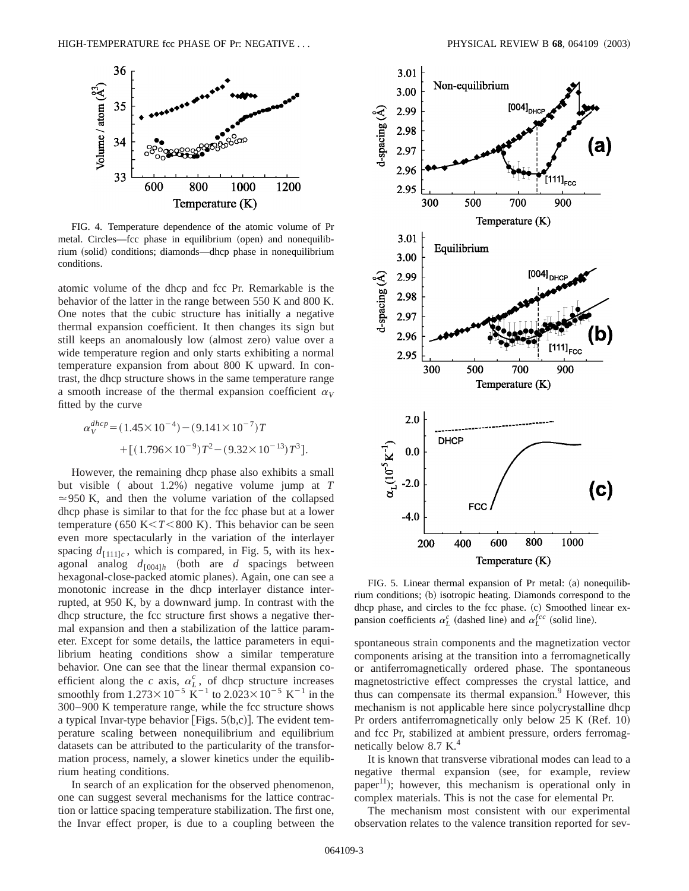

FIG. 4. Temperature dependence of the atomic volume of Pr metal. Circles—fcc phase in equilibrium (open) and nonequilibrium (solid) conditions; diamonds—dhcp phase in nonequilibrium conditions.

atomic volume of the dhcp and fcc Pr. Remarkable is the behavior of the latter in the range between 550 K and 800 K. One notes that the cubic structure has initially a negative thermal expansion coefficient. It then changes its sign but still keeps an anomalously low (almost zero) value over a wide temperature region and only starts exhibiting a normal temperature expansion from about 800 K upward. In contrast, the dhcp structure shows in the same temperature range a smooth increase of the thermal expansion coefficient  $\alpha_V$ fitted by the curve

$$
\alpha_V^{dhp} = (1.45 \times 10^{-4}) - (9.141 \times 10^{-7})T + [(1.796 \times 10^{-9})T^2 - (9.32 \times 10^{-13})T^3].
$$

However, the remaining dhcp phase also exhibits a small but visible (about 1.2%) negative volume jump at *T*  $\approx$  950 K, and then the volume variation of the collapsed dhcp phase is similar to that for the fcc phase but at a lower temperature (650 K $\lt$ *T* $\lt$ 800 K). This behavior can be seen even more spectacularly in the variation of the interlayer spacing  $d_{[111]c}$ , which is compared, in Fig. 5, with its hexagonal analog  $d_{[004]h}$  (both are *d* spacings between hexagonal-close-packed atomic planes). Again, one can see a monotonic increase in the dhcp interlayer distance interrupted, at 950 K, by a downward jump. In contrast with the dhcp structure, the fcc structure first shows a negative thermal expansion and then a stabilization of the lattice parameter. Except for some details, the lattice parameters in equilibrium heating conditions show a similar temperature behavior. One can see that the linear thermal expansion coefficient along the *c* axis,  $\alpha_L^c$ , of dhcp structure increases smoothly from  $1.273\times10^{-5}$  K<sup>-1</sup> to  $2.023\times10^{-5}$  K<sup>-1</sup> in the 300–900 K temperature range, while the fcc structure shows a typical Invar-type behavior [Figs.  $5(b,c)$ ]. The evident temperature scaling between nonequilibrium and equilibrium datasets can be attributed to the particularity of the transformation process, namely, a slower kinetics under the equilibrium heating conditions.

In search of an explication for the observed phenomenon, one can suggest several mechanisms for the lattice contraction or lattice spacing temperature stabilization. The first one, the Invar effect proper, is due to a coupling between the



FIG. 5. Linear thermal expansion of Pr metal:  $(a)$  nonequilibrium conditions; (b) isotropic heating. Diamonds correspond to the dhcp phase, and circles to the fcc phase. (c) Smoothed linear expansion coefficients  $\alpha_L^c$  (dashed line) and  $\alpha_L^{fcc}$  (solid line).

spontaneous strain components and the magnetization vector components arising at the transition into a ferromagnetically or antiferromagnetically ordered phase. The spontaneous magnetostrictive effect compresses the crystal lattice, and thus can compensate its thermal expansion. $9$  However, this mechanism is not applicable here since polycrystalline dhcp Pr orders antiferromagnetically only below  $25 K (Ref. 10)$ and fcc Pr, stabilized at ambient pressure, orders ferromagnetically below 8.7 K.<sup>4</sup>

It is known that transverse vibrational modes can lead to a negative thermal expansion (see, for example, review paper<sup>11</sup>); however, this mechanism is operational only in complex materials. This is not the case for elemental Pr.

The mechanism most consistent with our experimental observation relates to the valence transition reported for sev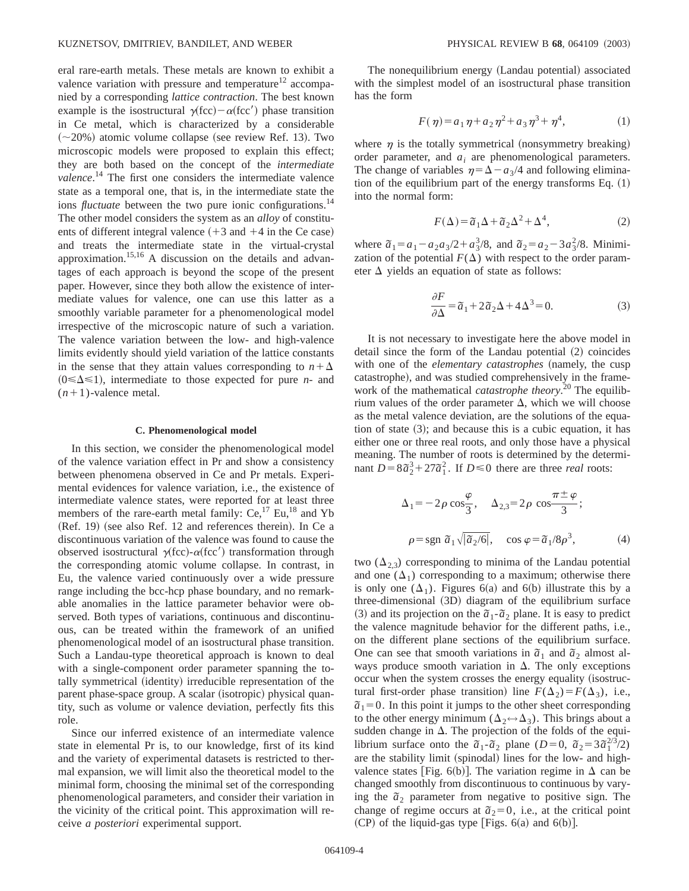eral rare-earth metals. These metals are known to exhibit a valence variation with pressure and temperature<sup>12</sup> accompanied by a corresponding *lattice contraction*. The best known example is the isostructural  $\gamma$ (fcc) –  $\alpha$ (fcc') phase transition in Ce metal, which is characterized by a considerable  $(\sim 20\%)$  atomic volume collapse (see review Ref. 13). Two microscopic models were proposed to explain this effect; they are both based on the concept of the *intermediate valence*. <sup>14</sup> The first one considers the intermediate valence state as a temporal one, that is, in the intermediate state the ions *fluctuate* between the two pure ionic configurations.<sup>14</sup> The other model considers the system as an *alloy* of constituents of different integral valence  $(+3$  and  $+4$  in the Ce case) and treats the intermediate state in the virtual-crystal approximation.15,16 A discussion on the details and advantages of each approach is beyond the scope of the present paper. However, since they both allow the existence of intermediate values for valence, one can use this latter as a smoothly variable parameter for a phenomenological model irrespective of the microscopic nature of such a variation. The valence variation between the low- and high-valence limits evidently should yield variation of the lattice constants in the sense that they attain values corresponding to  $n + \Delta$  $(0 \le \Delta \le 1)$ , intermediate to those expected for pure *n*- and  $(n+1)$ -valence metal.

### **C. Phenomenological model**

In this section, we consider the phenomenological model of the valence variation effect in Pr and show a consistency between phenomena observed in Ce and Pr metals. Experimental evidences for valence variation, i.e., the existence of intermediate valence states, were reported for at least three members of the rare-earth metal family:  $Ce<sub>1</sub><sup>17</sup> Eu<sub>1</sub><sup>18</sup>$  and Yb  $(Ref. 19)$  (see also Ref. 12 and references therein). In Ce a discontinuous variation of the valence was found to cause the observed isostructural  $\gamma$ (fcc)- $\alpha$ (fcc') transformation through the corresponding atomic volume collapse. In contrast, in Eu, the valence varied continuously over a wide pressure range including the bcc-hcp phase boundary, and no remarkable anomalies in the lattice parameter behavior were observed. Both types of variations, continuous and discontinuous, can be treated within the framework of an unified phenomenological model of an isostructural phase transition. Such a Landau-type theoretical approach is known to deal with a single-component order parameter spanning the totally symmetrical (identity) irreducible representation of the parent phase-space group. A scalar (isotropic) physical quantity, such as volume or valence deviation, perfectly fits this role.

Since our inferred existence of an intermediate valence state in elemental Pr is, to our knowledge, first of its kind and the variety of experimental datasets is restricted to thermal expansion, we will limit also the theoretical model to the minimal form, choosing the minimal set of the corresponding phenomenological parameters, and consider their variation in the vicinity of the critical point. This approximation will receive *a posteriori* experimental support.

The nonequilibrium energy (Landau potential) associated with the simplest model of an isostructural phase transition has the form

$$
F(\eta) = a_1 \eta + a_2 \eta^2 + a_3 \eta^3 + \eta^4,\tag{1}
$$

where  $\eta$  is the totally symmetrical (nonsymmetry breaking) order parameter, and  $a_i$  are phenomenological parameters. The change of variables  $\eta = \Delta - a_3/4$  and following elimination of the equilibrium part of the energy transforms Eq.  $(1)$ into the normal form:

$$
F(\Delta) = \tilde{a}_1 \Delta + \tilde{a}_2 \Delta^2 + \Delta^4,\tag{2}
$$

where  $\tilde{a}_1 = a_1 - a_2 a_3/2 + a_3^3/8$ , and  $\tilde{a}_2 = a_2 - 3 a_3^2/8$ . Minimization of the potential  $F(\Delta)$  with respect to the order parameter  $\Delta$  yields an equation of state as follows:

$$
\frac{\partial F}{\partial \Delta} = \tilde{a}_1 + 2\tilde{a}_2 \Delta + 4\Delta^3 = 0.
$$
 (3)

It is not necessary to investigate here the above model in detail since the form of the Landau potential  $(2)$  coincides with one of the *elementary catastrophes* (namely, the cusp catastrophe), and was studied comprehensively in the framework of the mathematical *catastrophe theory*. <sup>20</sup> The equilibrium values of the order parameter  $\Delta$ , which we will choose as the metal valence deviation, are the solutions of the equation of state  $(3)$ ; and because this is a cubic equation, it has either one or three real roots, and only those have a physical meaning. The number of roots is determined by the determinant  $D = 8\bar{a}_2^3 + 27\bar{a}_1^2$ . If  $D \le 0$  there are three *real* roots:

$$
\Delta_1 = -2\rho \cos\frac{\varphi}{3}, \quad \Delta_{2,3} = 2\rho \cos\frac{\pi \pm \varphi}{3};
$$
  

$$
\rho = \text{sgn }\tilde{a}_1 \sqrt{|\tilde{a}_2/6|}, \quad \cos \varphi = \tilde{a}_1/8\rho^3,
$$
 (4)

two  $(\Delta_{2,3})$  corresponding to minima of the Landau potential and one  $(\Delta_1)$  corresponding to a maximum; otherwise there is only one  $(\Delta_1)$ . Figures 6(a) and 6(b) illustrate this by a  $three-dimensional (3D) diagram of the equilibrium surface$  $(3)$  and its projection on the  $\tilde{a}_1$ - $\tilde{a}_2$  plane. It is easy to predict the valence magnitude behavior for the different paths, i.e., on the different plane sections of the equilibrium surface. One can see that smooth variations in  $\tilde{a}_1$  and  $\tilde{a}_2$  almost always produce smooth variation in  $\Delta$ . The only exceptions occur when the system crosses the energy equality (isostructural first-order phase transition) line  $F(\Delta_2) = F(\Delta_3)$ , i.e.,  $\tilde{a}_1 = 0$ . In this point it jumps to the other sheet corresponding to the other energy minimum ( $\Delta_2 \leftrightarrow \Delta_3$ ). This brings about a sudden change in  $\Delta$ . The projection of the folds of the equilibrium surface onto the  $\tilde{a}_1 \cdot \tilde{a}_2$  plane (*D*=0,  $\tilde{a}_2 = 3 \tilde{a}_1^{2/3/2}$ ) are the stability limit (spinodal) lines for the low- and highvalence states [Fig. 6(b)]. The variation regime in  $\Delta$  can be changed smoothly from discontinuous to continuous by varying the  $\tilde{a}_2$  parameter from negative to positive sign. The change of regime occurs at  $\tilde{a}_2=0$ , i.e., at the critical point  $(CP)$  of the liquid-gas type [Figs. 6(a) and 6(b)].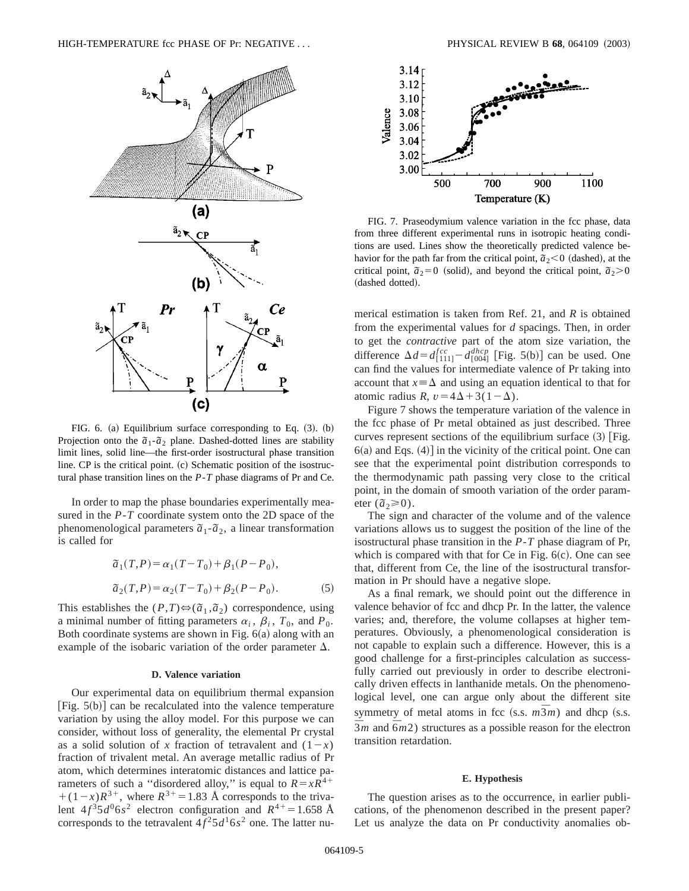

FIG. 6. (a) Equilibrium surface corresponding to Eq.  $(3)$ .  $(b)$ Projection onto the  $\tilde{a}_1$ - $\tilde{a}_2$  plane. Dashed-dotted lines are stability limit lines, solid line—the first-order isostructural phase transition line.  $CP$  is the critical point.  $(c)$  Schematic position of the isostructural phase transition lines on the *P*-*T* phase diagrams of Pr and Ce.

In order to map the phase boundaries experimentally measured in the *P*-*T* coordinate system onto the 2D space of the phenomenological parameters  $\tilde{a}_1$ - $\tilde{a}_2$ , a linear transformation is called for

$$
\tilde{a}_1(T, P) = \alpha_1(T - T_0) + \beta_1(P - P_0),
$$
  
\n
$$
\tilde{a}_2(T, P) = \alpha_2(T - T_0) + \beta_2(P - P_0).
$$
\n(5)

This establishes the  $(P,T) \Leftrightarrow (\tilde{a}_1, \tilde{a}_2)$  correspondence, using a minimal number of fitting parameters  $\alpha_i$ ,  $\beta_i$ ,  $T_0$ , and  $P_0$ . Both coordinate systems are shown in Fig.  $6(a)$  along with an example of the isobaric variation of the order parameter  $\Delta$ .

## **D. Valence variation**

Our experimental data on equilibrium thermal expansion [Fig.  $5(b)$ ] can be recalculated into the valence temperature variation by using the alloy model. For this purpose we can consider, without loss of generality, the elemental Pr crystal as a solid solution of x fraction of tetravalent and  $(1-x)$ fraction of trivalent metal. An average metallic radius of Pr atom, which determines interatomic distances and lattice parameters of such a "disordered alloy," is equal to  $R = xR<sup>4+</sup>$  $+(1-x)R^{3+}$ , where  $R^{3+}=1.83$  Å corresponds to the trivalent  $4f^35d^06s^2$  electron configuration and  $R^{4+}=1.658$  Å corresponds to the tetravalent  $4f^25d^16s^2$  one. The latter nu-



FIG. 7. Praseodymium valence variation in the fcc phase, data from three different experimental runs in isotropic heating conditions are used. Lines show the theoretically predicted valence behavior for the path far from the critical point,  $\tilde{a}_2 < 0$  (dashed), at the critical point,  $\tilde{a}_2=0$  (solid), and beyond the critical point,  $\tilde{a}_2>0$ (dashed dotted).

merical estimation is taken from Ref. 21, and *R* is obtained from the experimental values for *d* spacings. Then, in order to get the *contractive* part of the atom size variation, the difference  $\Delta d = d_{[111]}^{fcc} - d_{[004]}^{dhep}$  [Fig. 5(b)] can be used. One can find the values for intermediate valence of Pr taking into account that  $x \equiv \Delta$  and using an equation identical to that for atomic radius *R*,  $v = 4\Delta + 3(1 - \Delta)$ .

Figure 7 shows the temperature variation of the valence in the fcc phase of Pr metal obtained as just described. Three curves represent sections of the equilibrium surface  $(3)$  [Fig.  $6(a)$  and Eqs.  $(4)$ ] in the vicinity of the critical point. One can see that the experimental point distribution corresponds to the thermodynamic path passing very close to the critical point, in the domain of smooth variation of the order parameter  $(\tilde{a}_2 \ge 0)$ .

The sign and character of the volume and of the valence variations allows us to suggest the position of the line of the isostructural phase transition in the *P*-*T* phase diagram of Pr, which is compared with that for Ce in Fig.  $6(c)$ . One can see that, different from Ce, the line of the isostructural transformation in Pr should have a negative slope.

As a final remark, we should point out the difference in valence behavior of fcc and dhcp Pr. In the latter, the valence varies; and, therefore, the volume collapses at higher temperatures. Obviously, a phenomenological consideration is not capable to explain such a difference. However, this is a good challenge for a first-principles calculation as successfully carried out previously in order to describe electronically driven effects in lanthanide metals. On the phenomenological level, one can argue only about the different site symmetry of metal atoms in fcc  $(s.s. m\overline{3}m)$  and dhep  $(s.s.$  $\overline{3}$ *m* and  $\overline{6}$ *m*2) structures as a possible reason for the electron transition retardation.

## **E. Hypothesis**

The question arises as to the occurrence, in earlier publications, of the phenomenon described in the present paper? Let us analyze the data on Pr conductivity anomalies ob